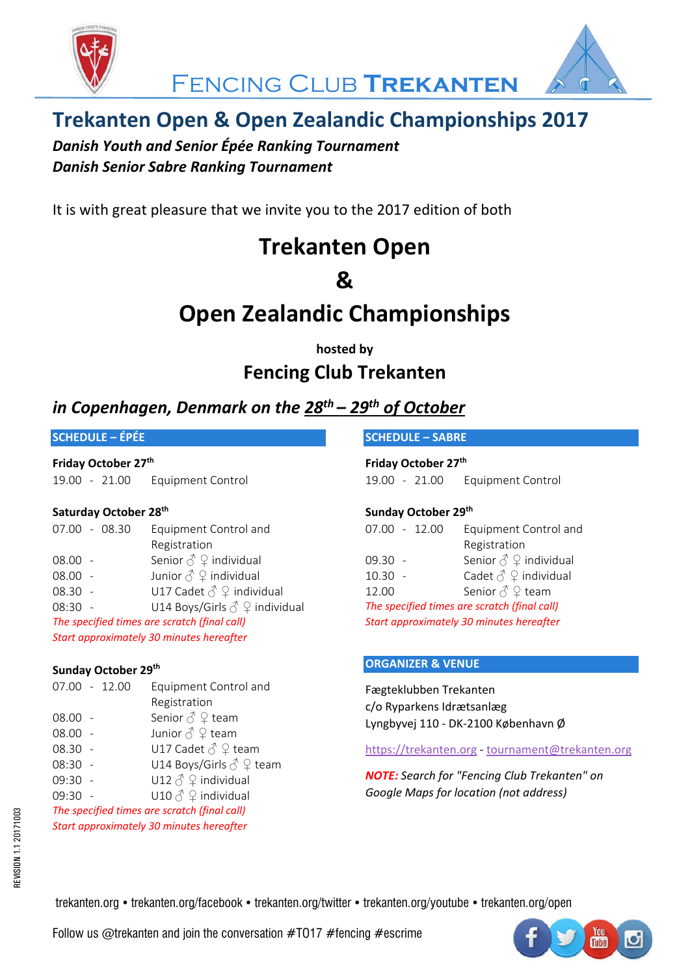



### **Trekanten Open & Open Zealandic Championships 2017**

*Danish Youth and Senior Épée Ranking Tournament Danish Senior Sabre Ranking Tournament*

It is with great pleasure that we invite you to the 2017 edition of both

## **Trekanten Open**

### **&**

## **Open Zealandic Championships**

### **hosted by Fencing Club Trekanten**

### *in Copenhagen, Denmark on the 28th – 29th of October*

#### **SCHEDULE – ÉPÉE**

#### **Friday October 27th**

19.00 ‐ 21.00 Equipment Control

#### **Saturday October 28th**

|                                              | 07.00 - 08.30 | Equipment Control and                           |  |  |  |
|----------------------------------------------|---------------|-------------------------------------------------|--|--|--|
|                                              |               | Registration                                    |  |  |  |
| $08.00 -$                                    |               | Senior $\textcircled{2}$ andividual             |  |  |  |
| $08.00 -$                                    |               | Junior $\text{I}^{\Diamond} \varphi$ individual |  |  |  |
| $08.30 -$                                    |               | U17 Cadet $\delta$ $\Omega$ individual          |  |  |  |
| $08:30 -$                                    |               | U14 Boys/Girls $\delta \mathcal{Q}$ individual  |  |  |  |
| The specified times are scratch (final call) |               |                                                 |  |  |  |
| Start approximately 30 minutes hereafter     |               |                                                 |  |  |  |

#### **Sunday October 29th**

|                                              | 07.00 - 12.00 | Equipment Control and                                  |  |  |
|----------------------------------------------|---------------|--------------------------------------------------------|--|--|
|                                              |               | Registration                                           |  |  |
| $08.00 -$                                    |               | Senior $\textcircled{}^{\Diamond} \textcircled{}$ team |  |  |
| $08.00 -$                                    |               | Junior $\textcircled{}^{\Diamond} \textcircled{}$ team |  |  |
| 08.30 -                                      |               | U17 Cadet $\delta \nsubseteq$ team                     |  |  |
| 08:30 -                                      |               | U14 Boys/Girls $\textcircled{2}$ team                  |  |  |
| 09:30 -                                      |               | U12 $\delta$ $\Omega$ individual                       |  |  |
| 09:30 -                                      |               | U10 $\textcircled{2}$ $\varphi$ individual             |  |  |
| The specified times are scratch (final call) |               |                                                        |  |  |

*Start approximately 30 minutes hereafter*

#### **SCHEDULE – SABRE**

**Friday October 27th**  19.00 ‐ 21.00 Equipment Control

#### **Sunday October 29th**

| $07.00 - 12.00$                              | Equipment Control and                         |  |  |  |
|----------------------------------------------|-----------------------------------------------|--|--|--|
|                                              | Registration                                  |  |  |  |
| 09.30 -                                      | Senior $\delta \mathcal{Q}$ individual        |  |  |  |
| $10.30 -$                                    | Cadet $\textcircled{2}$ individual            |  |  |  |
| 12.00                                        | Senior $\textcircled{}$ $\textcircled{}$ team |  |  |  |
| The specified times are scratch (final call) |                                               |  |  |  |
| Start approximately 30 minutes hereafter     |                                               |  |  |  |

#### **ORGANIZER & VENUE**

Fægteklubben Trekanten c/o Ryparkens Idrætsanlæg Lyngbyvej 110 ‐ DK‐2100 København Ø

https://trekanten.org ‐ tournament@trekanten.org

*NOTE: Search for "Fencing Club Trekanten" on Google Maps for location (not address)*

trekanten.org • trekanten.org/facebook • trekanten.org/twitter • trekanten.org/youtube • trekanten.org/open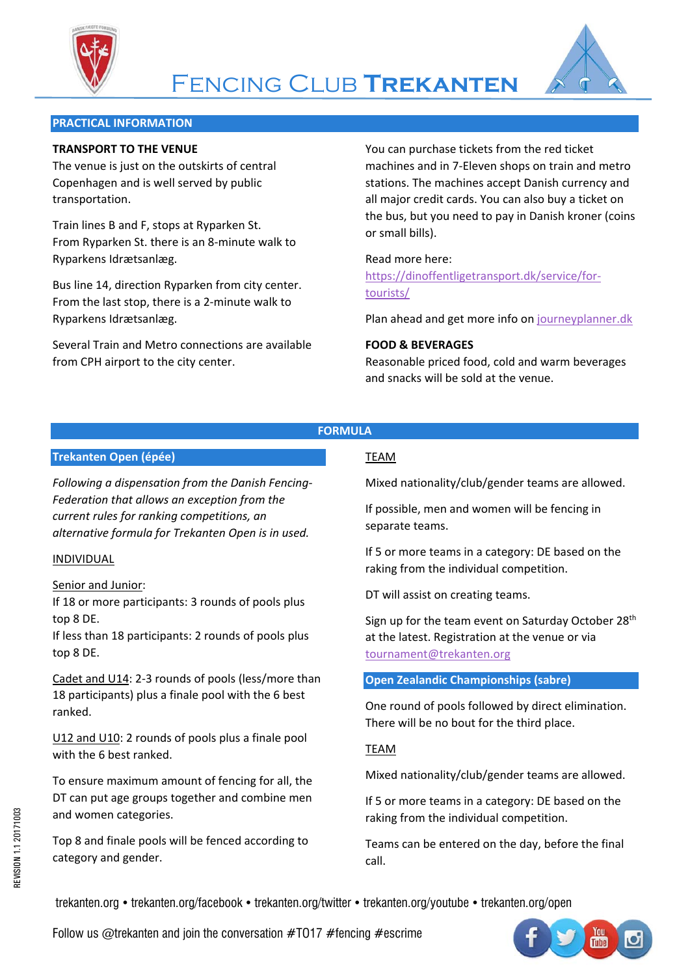



#### **PRACTICAL INFORMATION**

#### **TRANSPORT TO THE VENUE**

The venue is just on the outskirts of central Copenhagen and is well served by public transportation.

Train lines B and F, stops at Ryparken St. From Ryparken St. there is an 8‐minute walk to Ryparkens Idrætsanlæg.

Bus line 14, direction Ryparken from city center. From the last stop, there is a 2‐minute walk to Ryparkens Idrætsanlæg.

Several Train and Metro connections are available from CPH airport to the city center.

You can purchase tickets from the red ticket machines and in 7‐Eleven shops on train and metro stations. The machines accept Danish currency and all major credit cards. You can also buy a ticket on the bus, but you need to pay in Danish kroner (coins or small bills).

#### Read more here:

https://dinoffentligetransport.dk/service/for‐ tourists/

Plan ahead and get more info on journeyplanner.dk

#### **FOOD & BEVERAGES**

Reasonable priced food, cold and warm beverages and snacks will be sold at the venue.

#### **FORMULA**

#### **Trekanten Open (épée)**

*Following a dispensation from the Danish Fencing‐ Federation that allows an exception from the current rules for ranking competitions, an alternative formula for Trekanten Open is in used.*

#### INDIVIDUAL

#### Senior and Junior:

If 18 or more participants: 3 rounds of pools plus top 8 DE.

If less than 18 participants: 2 rounds of pools plus top 8 DE.

Cadet and U14: 2‐3 rounds of pools (less/more than 18 participants) plus a finale pool with the 6 best ranked.

U12 and U10: 2 rounds of pools plus a finale pool with the 6 best ranked.

To ensure maximum amount of fencing for all, the DT can put age groups together and combine men and women categories.

Top 8 and finale pools will be fenced according to category and gender.

#### TEAM

Mixed nationality/club/gender teams are allowed.

If possible, men and women will be fencing in separate teams.

If 5 or more teams in a category: DE based on the raking from the individual competition.

DT will assist on creating teams.

Sign up for the team event on Saturday October 28<sup>th</sup> at the latest. Registration at the venue or via tournament@trekanten.org

**Open Zealandic Championships (sabre)**

One round of pools followed by direct elimination. There will be no bout for the third place.

#### TEAM

Mixed nationality/club/gender teams are allowed.

If 5 or more teams in a category: DE based on the raking from the individual competition.

Teams can be entered on the day, before the final call.

trekanten.org • trekanten.org/facebook • trekanten.org/twitter • trekanten.org/youtube • trekanten.org/open

Follow us @trekanten and join the conversation  $\#T017 \#$  fencing  $\#$  escrime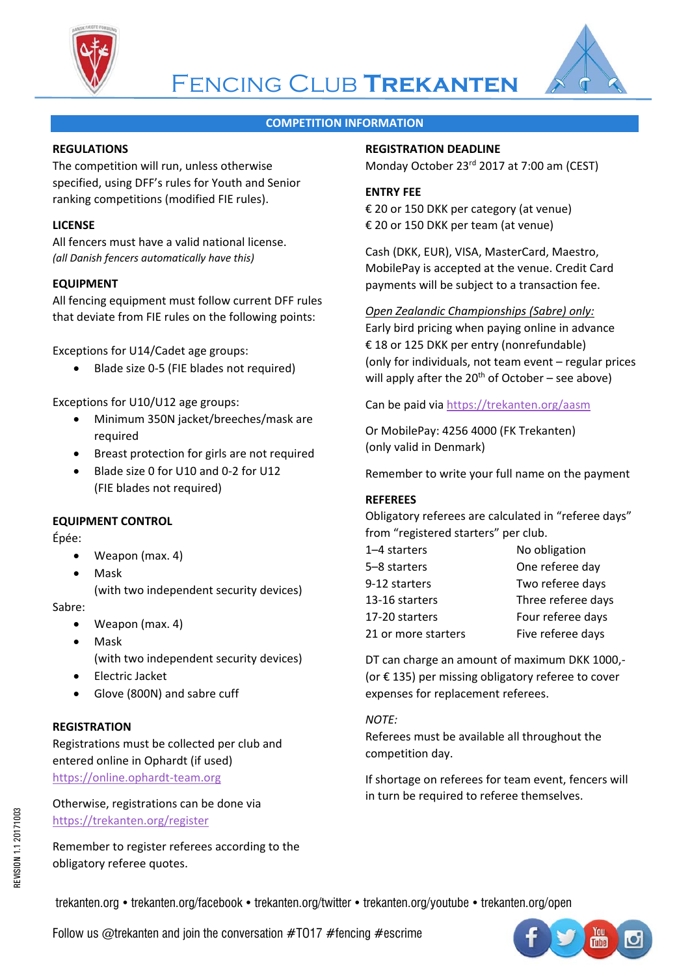



#### **COMPETITION INFORMATION**

#### **REGULATIONS**

The competition will run, unless otherwise specified, using DFF's rules for Youth and Senior ranking competitions (modified FIE rules).

#### **LICENSE**

All fencers must have a valid national license. *(all Danish fencers automatically have this)*

#### **EQUIPMENT**

All fencing equipment must follow current DFF rules that deviate from FIE rules on the following points:

Exceptions for U14/Cadet age groups:

Blade size 0‐5 (FIE blades not required)

Exceptions for U10/U12 age groups:

- Minimum 350N jacket/breeches/mask are required
- Breast protection for girls are not required
- Blade size 0 for U10 and 0‐2 for U12 (FIE blades not required)

#### **EQUIPMENT CONTROL**

Épée:

- Weapon (max. 4)
- Mask (with two independent security devices)

Sabre:

- Weapon (max. 4)
- Mask (with two independent security devices)
- Electric Jacket
- Glove (800N) and sabre cuff

#### **REGISTRATION**

Registrations must be collected per club and entered online in Ophardt (if used) https://online.ophardt‐team.org

Otherwise, registrations can be done via https://trekanten.org/register

Remember to register referees according to the obligatory referee quotes.

#### **REGISTRATION DEADLINE**

Monday October 23rd 2017 at 7:00 am (CEST)

#### **ENTRY FEE**

€ 20 or 150 DKK per category (at venue) € 20 or 150 DKK per team (at venue)

Cash (DKK, EUR), VISA, MasterCard, Maestro, MobilePay is accepted at the venue. Credit Card payments will be subject to a transaction fee.

#### *Open Zealandic Championships (Sabre) only:*

Early bird pricing when paying online in advance € 18 or 125 DKK per entry (nonrefundable) (only for individuals, not team event – regular prices will apply after the  $20<sup>th</sup>$  of October – see above)

Can be paid via https://trekanten.org/aasm

Or MobilePay: 4256 4000 (FK Trekanten) (only valid in Denmark)

Remember to write your full name on the payment

#### **REFEREES**

Obligatory referees are calculated in "referee days" from "registered starters" per club.

| No obligation      |
|--------------------|
| One referee day    |
| Two referee days   |
| Three referee days |
| Four referee days  |
| Five referee days  |
|                    |

DT can charge an amount of maximum DKK 1000,‐ (or € 135) per missing obligatory referee to cover expenses for replacement referees.

#### *NOTE:*

Referees must be available all throughout the competition day.

If shortage on referees for team event, fencers will in turn be required to referee themselves.

trekanten.org • trekanten.org/facebook • trekanten.org/twitter • trekanten.org/youtube • trekanten.org/open

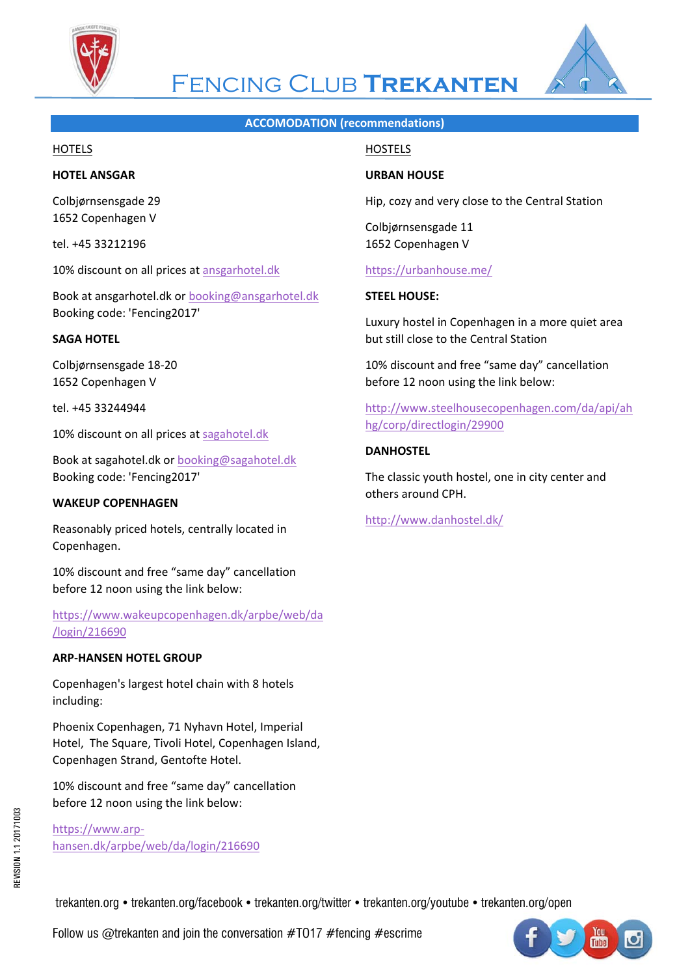



### Fencing Club **Trekanten**

#### **ACCOMODATION (recommendations)**

#### **HOTELS**

#### **HOTEL ANSGAR**

Colbjørnsensgade 29 1652 Copenhagen V

tel. +45 33212196

10% discount on all prices at ansgarhotel.dk

Book at ansgarhotel.dk or booking@ansgarhotel.dk Booking code: 'Fencing2017'

#### **SAGA HOTEL**

Colbjørnsensgade 18‐20 1652 Copenhagen V

tel. +45 33244944

10% discount on all prices at sagahotel.dk

Book at sagahotel.dk or booking@sagahotel.dk Booking code: 'Fencing2017'

#### **WAKEUP COPENHAGEN**

Reasonably priced hotels, centrally located in Copenhagen.

10% discount and free "same day" cancellation before 12 noon using the link below:

https://www.wakeupcopenhagen.dk/arpbe/web/da /login/216690

#### **ARP‐HANSEN HOTEL GROUP**

Copenhagen's largest hotel chain with 8 hotels including:

Phoenix Copenhagen, 71 Nyhavn Hotel, Imperial Hotel, The Square, Tivoli Hotel, Copenhagen Island, Copenhagen Strand, Gentofte Hotel.

10% discount and free "same day" cancellation before 12 noon using the link below:

https://www.arp‐ hansen.dk/arpbe/web/da/login/216690

#### **HOSTELS**

#### **URBAN HOUSE**

Hip, cozy and very close to the Central Station

Colbjørnsensgade 11 1652 Copenhagen V

#### https://urbanhouse.me/

#### **STEEL HOUSE:**

Luxury hostel in Copenhagen in a more quiet area but still close to the Central Station

10% discount and free "same day" cancellation before 12 noon using the link below:

http://www.steelhousecopenhagen.com/da/api/ah hg/corp/directlogin/29900

#### **DANHOSTEL**

The classic youth hostel, one in city center and others around CPH.

http://www.danhostel.dk/

trekanten.org • trekanten.org/facebook • trekanten.org/twitter • trekanten.org/youtube • trekanten.org/open

Follow us @trekanten and join the conversation  $\#T017 \#$  fencing  $\#$  escrime